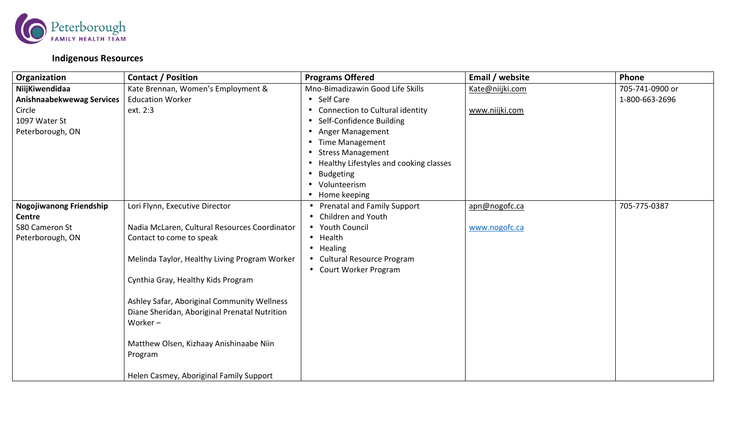

## **Indigenous Resources**

| Organization                     | <b>Contact / Position</b>                                   | <b>Programs Offered</b>                | Email / website | Phone           |
|----------------------------------|-------------------------------------------------------------|----------------------------------------|-----------------|-----------------|
| NiijKiwendidaa                   | Kate Brennan, Women's Employment &                          | Mno-Bimadizawin Good Life Skills       | Kate@niijki.com | 705-741-0900 or |
| <b>Anishnaabekwewag Services</b> | <b>Education Worker</b>                                     | • Self Care                            |                 | 1-800-663-2696  |
| Circle                           | ext. 2:3                                                    | • Connection to Cultural identity      | www.niijki.com  |                 |
| 1097 Water St                    |                                                             | Self-Confidence Building<br>$\bullet$  |                 |                 |
| Peterborough, ON                 |                                                             | • Anger Management                     |                 |                 |
|                                  |                                                             | <b>Time Management</b>                 |                 |                 |
|                                  |                                                             | <b>Stress Management</b>               |                 |                 |
|                                  |                                                             | Healthy Lifestyles and cooking classes |                 |                 |
|                                  |                                                             | <b>Budgeting</b><br>$\bullet$          |                 |                 |
|                                  |                                                             | Volunteerism                           |                 |                 |
|                                  |                                                             | Home keeping                           |                 |                 |
| <b>Nogojiwanong Friendship</b>   | Lori Flynn, Executive Director                              | <b>Prenatal and Family Support</b>     | apn@nogofc.ca   | 705-775-0387    |
| Centre                           |                                                             | <b>Children and Youth</b>              |                 |                 |
| 580 Cameron St                   | Nadia McLaren, Cultural Resources Coordinator               | • Youth Council                        | www.nogofc.ca   |                 |
| Peterborough, ON                 | Contact to come to speak                                    | • Health                               |                 |                 |
|                                  |                                                             | • Healing                              |                 |                 |
|                                  | Melinda Taylor, Healthy Living Program Worker               | <b>Cultural Resource Program</b>       |                 |                 |
|                                  |                                                             | • Court Worker Program                 |                 |                 |
|                                  | Cynthia Gray, Healthy Kids Program                          |                                        |                 |                 |
|                                  |                                                             |                                        |                 |                 |
|                                  | Ashley Safar, Aboriginal Community Wellness                 |                                        |                 |                 |
|                                  | Diane Sheridan, Aboriginal Prenatal Nutrition<br>Worker $-$ |                                        |                 |                 |
|                                  |                                                             |                                        |                 |                 |
|                                  | Matthew Olsen, Kizhaay Anishinaabe Niin                     |                                        |                 |                 |
|                                  | Program                                                     |                                        |                 |                 |
|                                  |                                                             |                                        |                 |                 |
|                                  | Helen Casmey, Aboriginal Family Support                     |                                        |                 |                 |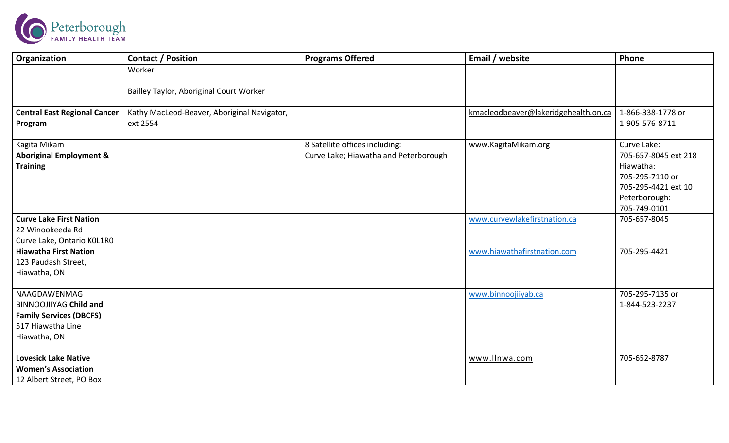

| Organization                                                                                                         | <b>Contact / Position</b>                               | <b>Programs Offered</b>                                                 | Email / website                      | Phone                                                                                                                       |
|----------------------------------------------------------------------------------------------------------------------|---------------------------------------------------------|-------------------------------------------------------------------------|--------------------------------------|-----------------------------------------------------------------------------------------------------------------------------|
|                                                                                                                      | Worker                                                  |                                                                         |                                      |                                                                                                                             |
|                                                                                                                      | Bailley Taylor, Aboriginal Court Worker                 |                                                                         |                                      |                                                                                                                             |
| <b>Central East Regional Cancer</b><br>Program                                                                       | Kathy MacLeod-Beaver, Aboriginal Navigator,<br>ext 2554 |                                                                         | kmacleodbeaver@lakeridgehealth.on.ca | 1-866-338-1778 or<br>1-905-576-8711                                                                                         |
| Kagita Mikam<br><b>Aboriginal Employment &amp;</b><br><b>Training</b>                                                |                                                         | 8 Satellite offices including:<br>Curve Lake; Hiawatha and Peterborough | www.KagitaMikam.org                  | Curve Lake:<br>705-657-8045 ext 218<br>Hiawatha:<br>705-295-7110 or<br>705-295-4421 ext 10<br>Peterborough:<br>705-749-0101 |
| <b>Curve Lake First Nation</b><br>22 Winookeeda Rd<br>Curve Lake, Ontario KOL1RO                                     |                                                         |                                                                         | www.curvewlakefirstnation.ca         | 705-657-8045                                                                                                                |
| <b>Hiawatha First Nation</b><br>123 Paudash Street,<br>Hiawatha, ON                                                  |                                                         |                                                                         | www.hiawathafirstnation.com          | 705-295-4421                                                                                                                |
| NAAGDAWENMAG<br><b>BINNOOJIIYAG Child and</b><br><b>Family Services (DBCFS)</b><br>517 Hiawatha Line<br>Hiawatha, ON |                                                         |                                                                         | www.binnoojiiyab.ca                  | 705-295-7135 or<br>1-844-523-2237                                                                                           |
| <b>Lovesick Lake Native</b><br><b>Women's Association</b><br>12 Albert Street, PO Box                                |                                                         |                                                                         | www.llnwa.com                        | 705-652-8787                                                                                                                |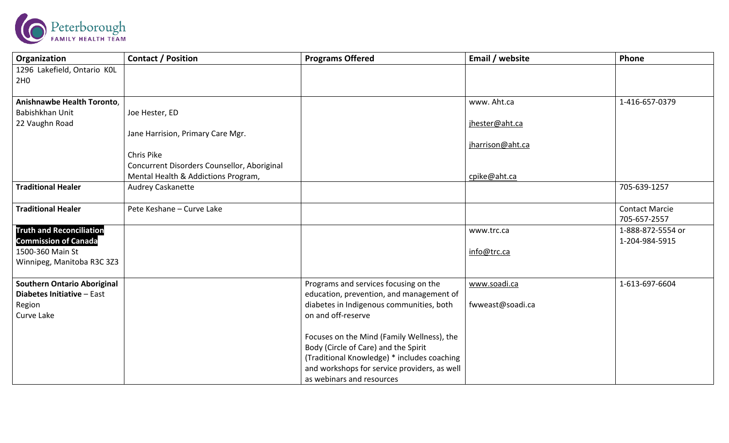

| Organization                       | <b>Contact / Position</b>                   | <b>Programs Offered</b>                      | Email / website  | Phone                 |
|------------------------------------|---------------------------------------------|----------------------------------------------|------------------|-----------------------|
| 1296 Lakefield, Ontario KOL        |                                             |                                              |                  |                       |
| 2H <sub>0</sub>                    |                                             |                                              |                  |                       |
|                                    |                                             |                                              |                  |                       |
| Anishnawbe Health Toronto,         |                                             |                                              | www. Aht.ca      | 1-416-657-0379        |
| Babishkhan Unit                    | Joe Hester, ED                              |                                              |                  |                       |
| 22 Vaughn Road                     |                                             |                                              | jhester@aht.ca   |                       |
|                                    | Jane Harrision, Primary Care Mgr.           |                                              |                  |                       |
|                                    |                                             |                                              | jharrison@aht.ca |                       |
|                                    | Chris Pike                                  |                                              |                  |                       |
|                                    | Concurrent Disorders Counsellor, Aboriginal |                                              |                  |                       |
|                                    | Mental Health & Addictions Program,         |                                              | cpike@aht.ca     |                       |
| <b>Traditional Healer</b>          | Audrey Caskanette                           |                                              |                  | 705-639-1257          |
|                                    |                                             |                                              |                  |                       |
| <b>Traditional Healer</b>          | Pete Keshane - Curve Lake                   |                                              |                  | <b>Contact Marcie</b> |
|                                    |                                             |                                              |                  | 705-657-2557          |
| <b>Truth and Reconciliation</b>    |                                             |                                              | www.trc.ca       | 1-888-872-5554 or     |
| <b>Commission of Canada</b>        |                                             |                                              |                  | 1-204-984-5915        |
| 1500-360 Main St                   |                                             |                                              | info@trc.ca      |                       |
| Winnipeg, Manitoba R3C 3Z3         |                                             |                                              |                  |                       |
|                                    |                                             |                                              |                  |                       |
| <b>Southern Ontario Aboriginal</b> |                                             | Programs and services focusing on the        | www.soadi.ca     | 1-613-697-6604        |
| Diabetes Initiative - East         |                                             | education, prevention, and management of     |                  |                       |
| Region                             |                                             | diabetes in Indigenous communities, both     | fwweast@soadi.ca |                       |
| Curve Lake                         |                                             | on and off-reserve                           |                  |                       |
|                                    |                                             |                                              |                  |                       |
|                                    |                                             | Focuses on the Mind (Family Wellness), the   |                  |                       |
|                                    |                                             | Body (Circle of Care) and the Spirit         |                  |                       |
|                                    |                                             | (Traditional Knowledge) * includes coaching  |                  |                       |
|                                    |                                             | and workshops for service providers, as well |                  |                       |
|                                    |                                             | as webinars and resources                    |                  |                       |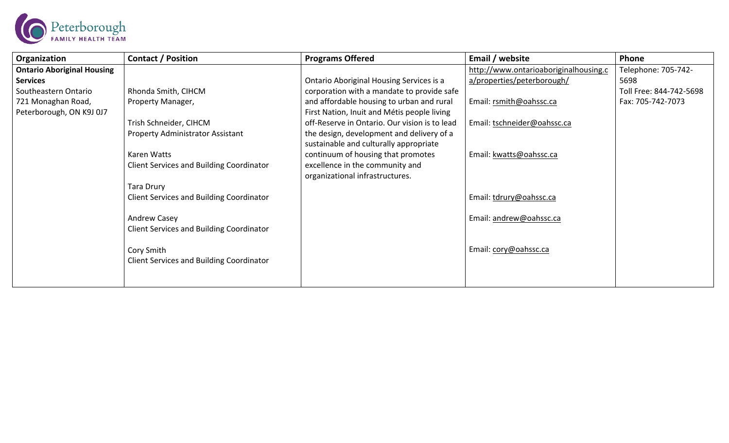

| Organization                      | <b>Contact / Position</b>                       | <b>Programs Offered</b>                       | Email / website                       | Phone                   |
|-----------------------------------|-------------------------------------------------|-----------------------------------------------|---------------------------------------|-------------------------|
| <b>Ontario Aboriginal Housing</b> |                                                 |                                               | http://www.ontarioaboriginalhousing.c | Telephone: 705-742-     |
| <b>Services</b>                   |                                                 | Ontario Aboriginal Housing Services is a      | a/properties/peterborough/            | 5698                    |
| Southeastern Ontario              | Rhonda Smith, CIHCM                             | corporation with a mandate to provide safe    |                                       | Toll Free: 844-742-5698 |
| 721 Monaghan Road,                | Property Manager,                               | and affordable housing to urban and rural     | Email: rsmith@oahssc.ca               | Fax: 705-742-7073       |
| Peterborough, ON K9J 0J7          |                                                 | First Nation, Inuit and Métis people living   |                                       |                         |
|                                   | Trish Schneider, CIHCM                          | off-Reserve in Ontario. Our vision is to lead | Email: tschneider@oahssc.ca           |                         |
|                                   | Property Administrator Assistant                | the design, development and delivery of a     |                                       |                         |
|                                   |                                                 | sustainable and culturally appropriate        |                                       |                         |
|                                   | Karen Watts                                     | continuum of housing that promotes            | Email: kwatts@oahssc.ca               |                         |
|                                   | <b>Client Services and Building Coordinator</b> | excellence in the community and               |                                       |                         |
|                                   |                                                 | organizational infrastructures.               |                                       |                         |
|                                   | Tara Drury                                      |                                               |                                       |                         |
|                                   | <b>Client Services and Building Coordinator</b> |                                               | Email: tdrury@oahssc.ca               |                         |
|                                   |                                                 |                                               |                                       |                         |
|                                   | Andrew Casey                                    |                                               | Email: andrew@oahssc.ca               |                         |
|                                   | <b>Client Services and Building Coordinator</b> |                                               |                                       |                         |
|                                   |                                                 |                                               |                                       |                         |
|                                   | Cory Smith                                      |                                               | Email: cory@oahssc.ca                 |                         |
|                                   | <b>Client Services and Building Coordinator</b> |                                               |                                       |                         |
|                                   |                                                 |                                               |                                       |                         |
|                                   |                                                 |                                               |                                       |                         |